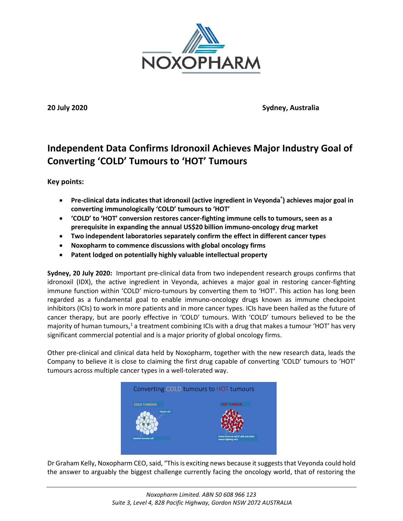

**20 July 2020 Sydney, Australia**

# **Independent Data Confirms Idronoxil Achieves Major Industry Goal of Converting 'COLD' Tumours to 'HOT' Tumours**

**Key points:**

- **Pre-clinical data indicates that idronoxil (active ingredient in Veyonda® ) achieves major goal in converting immunologically 'COLD' tumours to 'HOT'**
- **'COLD' to 'HOT' conversion restores cancer-fighting immune cells to tumours, seen as a prerequisite in expanding the annual US\$20 billion immuno-oncology drug market**
- **Two independent laboratories separately confirm the effect in different cancer types**
- **Noxopharm to commence discussions with global oncology firms**
- **Patent lodged on potentially highly valuable intellectual property**

**Sydney, 20 July 2020:** Important pre-clinical data from two independent research groups confirms that idronoxil (IDX), the active ingredient in Veyonda, achieves a major goal in restoring cancer-fighting immune function within 'COLD' micro-tumours by converting them to 'HOT'. This action has long been regarded as a fundamental goal to enable immuno-oncology drugs known as immune checkpoint inhibitors (ICIs) to work in more patients and in more cancer types. ICIs have been hailed as the future of cancer therapy, but are poorly effective in 'COLD' tumours. With 'COLD' tumours believed to be the majority of human tumours,<sup>1</sup> a treatment combining ICIs with a drug that makes a tumour 'HOT' has very significant commercial potential and is a major priority of global oncology firms.

Other pre-clinical and clinical data held by Noxopharm, together with the new research data, leads the Company to believe it is close to claiming the first drug capable of converting 'COLD' tumours to 'HOT' tumours across multiple cancer types in a well-tolerated way.



Dr Graham Kelly, Noxopharm CEO, said, "This is exciting news because it suggests that Veyonda could hold the answer to arguably the biggest challenge currently facing the oncology world, that of restoring the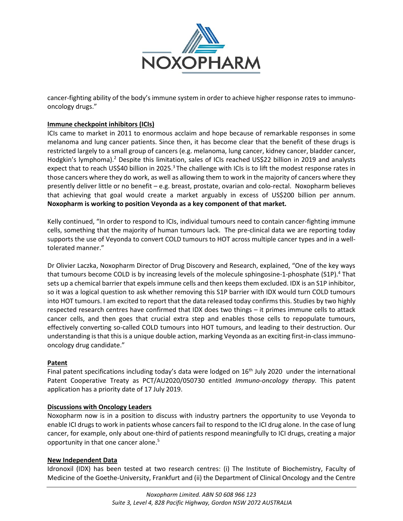

cancer-fighting ability of the body's immune system in order to achieve higher response rates to immunooncology drugs."

## **Immune checkpoint inhibitors (ICIs)**

ICIs came to market in 2011 to enormous acclaim and hope because of remarkable responses in some melanoma and lung cancer patients. Since then, it has become clear that the benefit of these drugs is restricted largely to a small group of cancers (e.g. melanoma, lung cancer, kidney cancer, bladder cancer, Hodgkin's lymphoma).<sup>2</sup> Despite this limitation, sales of ICIs reached US\$22 billion in 2019 and analysts expect that to reach US\$40 billion in 2025.<sup>3</sup> The challenge with ICIs is to lift the modest response rates in those cancers where they do work, as well as allowing them to work in the majority of cancers where they presently deliver little or no benefit – e.g. breast, prostate, ovarian and colo-rectal. Noxopharm believes that achieving that goal would create a market arguably in excess of US\$200 billion per annum. **Noxopharm is working to position Veyonda as a key component of that market.**

Kelly continued, "In order to respond to ICIs, individual tumours need to contain cancer-fighting immune cells, something that the majority of human tumours lack. The pre-clinical data we are reporting today supports the use of Veyonda to convert COLD tumours to HOT across multiple cancer types and in a welltolerated manner."

Dr Olivier Laczka, Noxopharm Director of Drug Discovery and Research, explained, "One of the key ways that tumours become COLD is by increasing levels of the molecule sphingosine-1-phosphate (S1P).<sup>4</sup> That sets up a chemical barrier that expels immune cells and then keeps them excluded. IDX is an S1P inhibitor, so it was a logical question to ask whether removing this S1P barrier with IDX would turn COLD tumours into HOT tumours. I am excited to report that the data released today confirms this. Studies by two highly respected research centres have confirmed that IDX does two things – it primes immune cells to attack cancer cells, and then goes that crucial extra step and enables those cells to repopulate tumours, effectively converting so-called COLD tumours into HOT tumours, and leading to their destruction. Our understanding is that this is a unique double action, marking Veyonda as an exciting first-in-class immunooncology drug candidate."

## **Patent**

Final patent specifications including today's data were lodged on 16<sup>th</sup> July 2020 under the international Patent Cooperative Treaty as PCT/AU2020/050730 entitled *Immuno-oncology therapy.* This patent application has a priority date of 17 July 2019.

## **Discussions with Oncology Leaders**

Noxopharm now is in a position to discuss with industry partners the opportunity to use Veyonda to enable ICI drugs to work in patients whose cancers fail to respond to the ICI drug alone. In the case of lung cancer, for example, only about one-third of patients respond meaningfully to ICI drugs, creating a major opportunity in that one cancer alone. 5

## **New Independent Data**

Idronoxil (IDX) has been tested at two research centres: (i) The Institute of Biochemistry, Faculty of Medicine of the Goethe-University, Frankfurt and (ii) the Department of Clinical Oncology and the Centre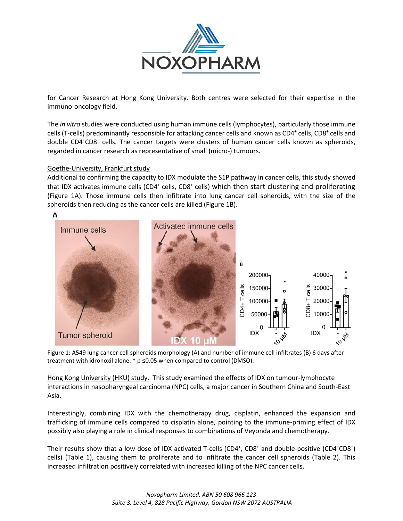

for Cancer Research at Hong Kong University. Both centres were selected for their expertise in the immuno-oncology field.

The *in vitro* studies were conducted using human immune cells (lymphocytes), particularly those immune cells (T-cells) predominantly responsible for attacking cancer cells and known as CD4<sup>+</sup> cells, CD8<sup>+</sup> cells and double CD4<sup>+</sup>CD8<sup>+</sup> cells. The cancer targets were clusters of human cancer cells known as spheroids, regarded in cancer research as representative of small (micro-) tumours.

## Goethe-University, Frankfurt study

Additional to confirming the capacity to IDX modulate the S1P pathway in cancer cells, this study showed that IDX activates immune cells (CD4<sup>+</sup> cells, CD8<sup>+</sup> cells) which then start clustering and proliferating (Figure 1A). Those immune cells then infiltrate into lung cancer cell spheroids, with the size of the spheroids then reducing as the cancer cells are killed (Figure 1B).



Figure 1: A549 lung cancer cell spheroids morphology (A) and number of immune cell infiltrates (B) 6 days after treatment with idronoxil alone. \* p ≤0.05 when compared to control (DMSO).

Hong Kong University (HKU) study. This study examined the effects of IDX on tumour-lymphocyte interactions in nasopharyngeal carcinoma (NPC) cells, a major cancer in Southern China and South-East Asia.

Interestingly, combining IDX with the chemotherapy drug, cisplatin, enhanced the expansion and trafficking of immune cells compared to cisplatin alone, pointing to the immune-priming effect of IDX possibly also playing a role in clinical responses to combinations of Veyonda and chemotherapy.

Their results show that a low dose of IDX activated T-cells (CD4<sup>+</sup>, CD8<sup>+</sup> and double-positive (CD4<sup>+</sup>CD8<sup>+</sup>) cells) (Table 1), causing them to proliferate and to infiltrate the cancer cell spheroids (Table 2). This increased infiltration positively correlated with increased killing of the NPC cancer cells.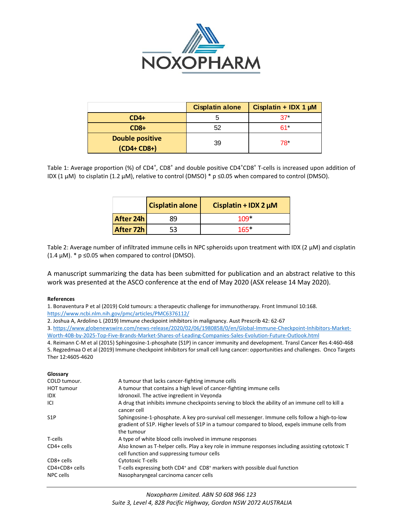

|                        | <b>Cisplatin alone</b> | Cisplatin + IDX 1 $\mu$ M |  |
|------------------------|------------------------|---------------------------|--|
| $CD4+$                 |                        | $27*$                     |  |
| $CD8+$                 | 52                     | 61*                       |  |
| <b>Double positive</b> | 39                     | 78*                       |  |
| $(CD4+CD8+)$           |                        |                           |  |

|           | <b>Cisplatin alone</b> | Cisplatin + IDX 2 $\mu$ M |
|-----------|------------------------|---------------------------|
| After 24h | 89                     | $109+$                    |
| After 72h | 53                     | $165*$                    |

#### **References**

#### **Glossary**

|                                                                                                                                          |                                                                                                                                                                                                                                                                                                                                                                                                                                                                                                                                                                                                                                                                                                                                                                                                                                                                                                                                                                                   |                                                                                                                                                                                        | <b>Cisplatin alone</b>                                                                                                                                                                                                                                                                                                                   | Cisplatin + IDX 1 $\mu$ M |                                                                                                                                                                                                                                                                                                     |
|------------------------------------------------------------------------------------------------------------------------------------------|-----------------------------------------------------------------------------------------------------------------------------------------------------------------------------------------------------------------------------------------------------------------------------------------------------------------------------------------------------------------------------------------------------------------------------------------------------------------------------------------------------------------------------------------------------------------------------------------------------------------------------------------------------------------------------------------------------------------------------------------------------------------------------------------------------------------------------------------------------------------------------------------------------------------------------------------------------------------------------------|----------------------------------------------------------------------------------------------------------------------------------------------------------------------------------------|------------------------------------------------------------------------------------------------------------------------------------------------------------------------------------------------------------------------------------------------------------------------------------------------------------------------------------------|---------------------------|-----------------------------------------------------------------------------------------------------------------------------------------------------------------------------------------------------------------------------------------------------------------------------------------------------|
|                                                                                                                                          | $CD4+$                                                                                                                                                                                                                                                                                                                                                                                                                                                                                                                                                                                                                                                                                                                                                                                                                                                                                                                                                                            |                                                                                                                                                                                        | 5                                                                                                                                                                                                                                                                                                                                        | 37 <sup>°</sup>           |                                                                                                                                                                                                                                                                                                     |
|                                                                                                                                          | $CD8+$                                                                                                                                                                                                                                                                                                                                                                                                                                                                                                                                                                                                                                                                                                                                                                                                                                                                                                                                                                            |                                                                                                                                                                                        | 52                                                                                                                                                                                                                                                                                                                                       | $61*$                     |                                                                                                                                                                                                                                                                                                     |
|                                                                                                                                          | <b>Double positive</b>                                                                                                                                                                                                                                                                                                                                                                                                                                                                                                                                                                                                                                                                                                                                                                                                                                                                                                                                                            |                                                                                                                                                                                        | 39                                                                                                                                                                                                                                                                                                                                       | 78                        |                                                                                                                                                                                                                                                                                                     |
|                                                                                                                                          | (CD4+ CD8+)                                                                                                                                                                                                                                                                                                                                                                                                                                                                                                                                                                                                                                                                                                                                                                                                                                                                                                                                                                       |                                                                                                                                                                                        |                                                                                                                                                                                                                                                                                                                                          |                           |                                                                                                                                                                                                                                                                                                     |
|                                                                                                                                          | Table 1: Average proportion (%) of CD4 <sup>+</sup> , CD8 <sup>+</sup> and double positive CD4 <sup>+</sup> CD8 <sup>+</sup> T-cells is increased upon addition of<br>IDX (1 µM) to cisplatin (1.2 µM), relative to control (DMSO) * $p \le 0.05$ when compared to control (DMSO).                                                                                                                                                                                                                                                                                                                                                                                                                                                                                                                                                                                                                                                                                                |                                                                                                                                                                                        |                                                                                                                                                                                                                                                                                                                                          |                           |                                                                                                                                                                                                                                                                                                     |
|                                                                                                                                          | <b>Cisplatin alone</b>                                                                                                                                                                                                                                                                                                                                                                                                                                                                                                                                                                                                                                                                                                                                                                                                                                                                                                                                                            |                                                                                                                                                                                        | Cisplatin + IDX 2 $\mu$ M                                                                                                                                                                                                                                                                                                                |                           |                                                                                                                                                                                                                                                                                                     |
|                                                                                                                                          | After 24h                                                                                                                                                                                                                                                                                                                                                                                                                                                                                                                                                                                                                                                                                                                                                                                                                                                                                                                                                                         | 89                                                                                                                                                                                     | 109*                                                                                                                                                                                                                                                                                                                                     |                           |                                                                                                                                                                                                                                                                                                     |
|                                                                                                                                          | After 72h                                                                                                                                                                                                                                                                                                                                                                                                                                                                                                                                                                                                                                                                                                                                                                                                                                                                                                                                                                         | 53                                                                                                                                                                                     | 165*                                                                                                                                                                                                                                                                                                                                     |                           |                                                                                                                                                                                                                                                                                                     |
| <b>References</b><br>Ther 12:4605-4620                                                                                                   | A manuscript summarizing the data has been submitted for publication and an abstract relative to thi<br>work was presented at the ASCO conference at the end of May 2020 (ASX release 14 May 2020).<br>1. Bonaventura P et al (2019) Cold tumours: a therapeutic challenge for immunotherapy. Front Immunol 10:168.<br>https://www.ncbi.nlm.nih.gov/pmc/articles/PMC6376112/<br>2. Joshua A, Ardolino L (2019) Immune checkpoint inhibitors in malignancy. Aust Prescrib 42: 62-67<br>3. https://www.globenewswire.com/news-release/2020/02/06/1980858/0/en/Global-Immune-Checkpoint-Inhibitors-Market-<br>Worth-40B-by-2025-Top-Five-Brands-Market-Shares-of-Leading-Companies-Sales-Evolution-Future-Outlook.html<br>4. Reimann C-M et al (2015) Sphingosine-1-phosphate (S1P) in cancer immunity and development. Transl Cancer Res 4:460-468<br>5. Regzedmaa O et al (2019) Immune checkpoint inhibitors for small cell lung cancer: opportunities and challenges. Onco Targe |                                                                                                                                                                                        |                                                                                                                                                                                                                                                                                                                                          |                           |                                                                                                                                                                                                                                                                                                     |
| Glossary<br>COLD tumour.<br><b>HOT tumour</b><br>idx<br>ICI<br>S1P<br>T-cells<br>CD4+ cells<br>CD8+ cells<br>CD4+CD8+ cells<br>NPC cells | cancer cell<br>the tumour<br><b>Cytotoxic T-cells</b>                                                                                                                                                                                                                                                                                                                                                                                                                                                                                                                                                                                                                                                                                                                                                                                                                                                                                                                             | A tumour that lacks cancer-fighting immune cells<br>Idronoxil. The active ingredient in Veyonda<br>cell function and suppressing tumour cells<br>Nasopharyngeal carcinoma cancer cells | A tumour that contains a high level of cancer-fighting immune cells<br>A drug that inhibits immune checkpoints serving to block the ability of an immune cell to kill a<br>A type of white blood cells involved in immune responses<br>T-cells expressing both CD4 <sup>+</sup> and CD8 <sup>+</sup> markers with possible dual function |                           | Sphingosine-1-phosphate. A key pro-survival cell messenger. Immune cells follow a high-to-low<br>gradient of S1P. Higher levels of S1P in a tumour compared to blood, expels immune cells from<br>Also known as T-helper cells. Play a key role in immune responses including assisting cytotoxic T |